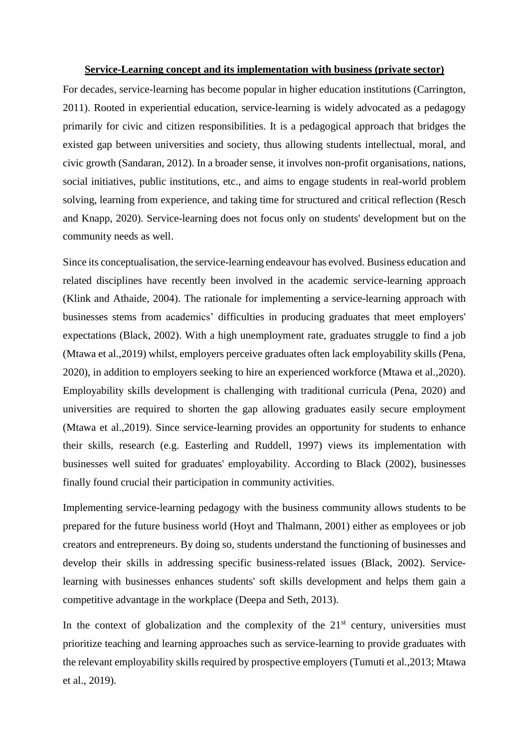## **Service-Learning concept and its implementation with business (private sector)**

For decades, service-learning has become popular in higher education institutions (Carrington, 2011). Rooted in experiential education, service-learning is widely advocated as a pedagogy primarily for civic and citizen responsibilities. It is a pedagogical approach that bridges the existed gap between universities and society, thus allowing students intellectual, moral, and civic growth (Sandaran, 2012). In a broader sense, it involves non-profit organisations, nations, social initiatives, public institutions, etc., and aims to engage students in real-world problem solving, learning from experience, and taking time for structured and critical reflection (Resch and Knapp, 2020). Service-learning does not focus only on students' development but on the community needs as well.

Since its conceptualisation, the service-learning endeavour has evolved. Business education and related disciplines have recently been involved in the academic service-learning approach (Klink and Athaide, 2004). The rationale for implementing a service-learning approach with businesses stems from academics' difficulties in producing graduates that meet employers' expectations (Black, 2002). With a high unemployment rate, graduates struggle to find a job (Mtawa et al.,2019) whilst, employers perceive graduates often lack employability skills (Pena, 2020), in addition to employers seeking to hire an experienced workforce (Mtawa et al.,2020). Employability skills development is challenging with traditional curricula (Pena, 2020) and universities are required to shorten the gap allowing graduates easily secure employment (Mtawa et al.,2019). Since service-learning provides an opportunity for students to enhance their skills, research (e.g. Easterling and Ruddell, 1997) views its implementation with businesses well suited for graduates' employability. According to Black (2002), businesses finally found crucial their participation in community activities.

Implementing service-learning pedagogy with the business community allows students to be prepared for the future business world (Hoyt and Thalmann, 2001) either as employees or job creators and entrepreneurs. By doing so, students understand the functioning of businesses and develop their skills in addressing specific business-related issues (Black, 2002). Servicelearning with businesses enhances students' soft skills development and helps them gain a competitive advantage in the workplace (Deepa and Seth, 2013).

In the context of globalization and the complexity of the  $21<sup>st</sup>$  century, universities must prioritize teaching and learning approaches such as service-learning to provide graduates with the relevant employability skills required by prospective employers (Tumuti et al.,2013; Mtawa et al., 2019).